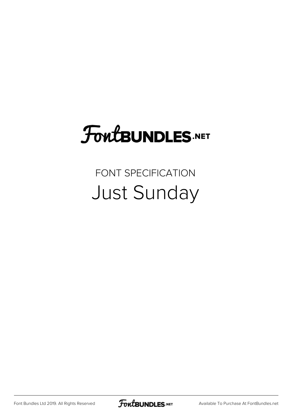## FoutBUNDLES.NET

## FONT SPECIFICATION Just Sunday

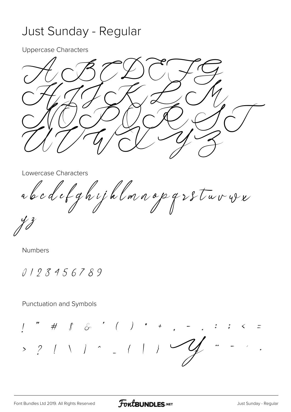## Just Sunday - Regular

**Uppercase Characters** 

Lowercase Characters

abcdefghyjklmnopgssturver

**Numbers** 

0123456789

**Punctuation and Symbols** 

 $\overrightarrow{f}$   $\overrightarrow{f}$   $\overrightarrow{G}$   $\overrightarrow{G}$   $\overrightarrow{G}$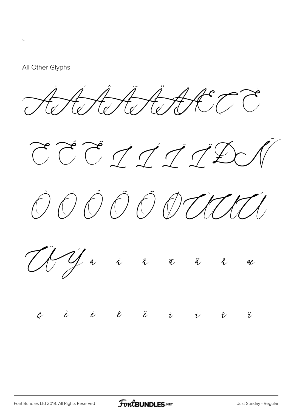## All Other Glyphs

,<br>。

ÀÁÂÃÄÅÆÇ È

 $\widetilde{C}$   $\widetilde{C}$   $\widetilde{C}$   $\widetilde{C}$   $\widetilde{C}$   $\widetilde{C}$   $\widetilde{D}$   $\widetilde{D}$ 





 $\begin{array}{cccccccccccccccccc} \mathcal{C} & \dot{\mathcal{C}} & \dot{\mathcal{C}} & \dot{\mathcal{C}} & \dot{\mathcal{C}} & \dot{\mathcal{C}} & \dot{\mathcal{C}} & \dot{\mathcal{C}} & \dot{\mathcal{C}} & \dot{\mathcal{C}} & \dot{\mathcal{C}} & \dot{\mathcal{C}} & \dot{\mathcal{C}} & \dot{\mathcal{C}} & \dot{\mathcal{C}} & \dot{\mathcal{C}} & \dot{\mathcal{C}} & \dot{\mathcal{C}} & \dot{\mathcal{C}} & \dot{\mathcal{C}} & \dot{\mathcal{C}} & \dot{\mathcal{C}} & \dot{\mathcal{C}} & \dot{\math$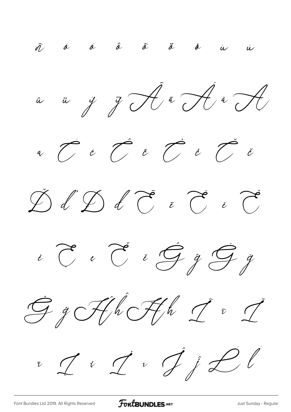$\tilde{q}$  à á â  $\tilde{a}$   $\tilde{a}$  $\phi$  $\dot{a}$   $\dot{a}$ 













**FoutBUNDLES**.NET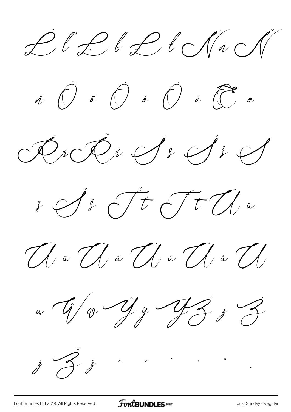Ľ ľ Ŀ ŀ Ł ł ŃńŇ













[Font Bundles Ltd 2019. All Rights Reserved](https://fontbundles.net/) **FoutBUNDLES.NET** Sunday - Regular